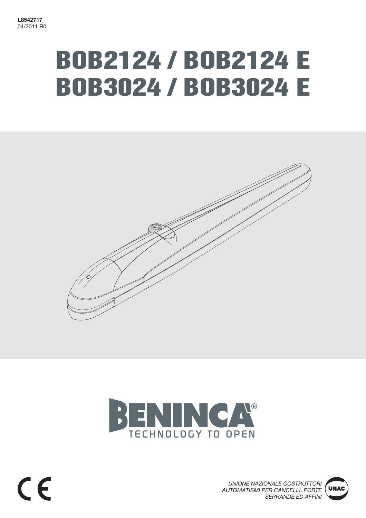# BOB2124 / BOB2124 E BOB3024 / BOB3024 E





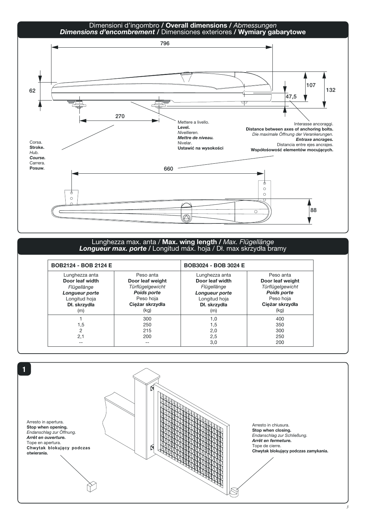

#### Lunghezza max. anta / Max. wing length / *Max. Flügellänge Longueur max. porte /* Longitud máx. hoja / Dł. max skrzydła bramy

| BOB2124 - BOB 2124 E                                                                                       |                                                                                                          | BOB3024 - BOB 3024 E                                                                                       |                                                                                                          |
|------------------------------------------------------------------------------------------------------------|----------------------------------------------------------------------------------------------------------|------------------------------------------------------------------------------------------------------------|----------------------------------------------------------------------------------------------------------|
| Lunghezza anta<br>Door leaf width<br>Flügellänge<br>Longueur porte<br>Longitud hoja<br>Dł. skrzydła<br>(m) | Peso anta<br>Door leaf weight<br>Türflügelgewicht<br>Poids porte<br>Peso hoja<br>Cieżar skrzydła<br>(kg) | Lunghezza anta<br>Door leaf width<br>Flügellänge<br>Longueur porte<br>Longitud hoja<br>Dł. skrzydła<br>(m) | Peso anta<br>Door leaf weight<br>Türflügelgewicht<br>Poids porte<br>Peso hoja<br>Ciężar skrzydła<br>(kg) |
| 1.5<br>2.1<br>--                                                                                           | 300<br>250<br>215<br>200<br>$- -$                                                                        | 1,0<br>1,5<br>2,0<br>2,5<br>3,0                                                                            | 400<br>350<br>300<br>250<br>200                                                                          |

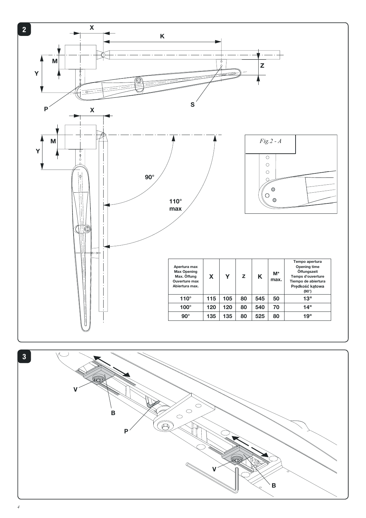

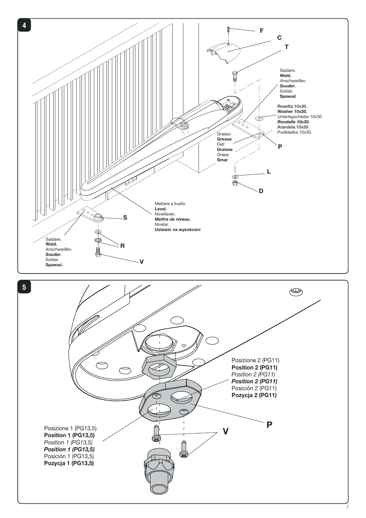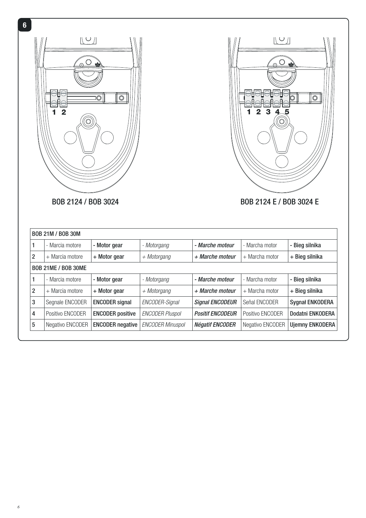



BOB 2124 / BOB 3024 BOB 2124 E / BOB 3024 E

| <b>BOB 21M / BOB 30M</b>   |                  |                         |                         |                         |                  |                        |
|----------------------------|------------------|-------------------------|-------------------------|-------------------------|------------------|------------------------|
| 1                          | - Marcia motore  | - Motor gear            | - Motorgang             | - Marche moteur         | - Marcha motor   | - Bieg silnika         |
| 2                          | + Marcia motore  | + Motor gear            | $+$ Motorgang           | + Marche moteur         | $+$ Marcha motor | + Bieg silnika         |
| <b>BOB 21ME / BOB 30ME</b> |                  |                         |                         |                         |                  |                        |
|                            | - Marcia motore  | - Motor gear            | - Motorgang             | - Marche moteur         | - Marcha motor   | - Bieg silnika         |
| 2                          | + Marcia motore  | + Motor gear            | $+$ Motorgang           | + Marche moteur         | + Marcha motor   | + Bieg silnika         |
| 3                          | Segnale ENCODER  | <b>ENCODER</b> signal   | ENCODER-Signal          | <b>Signal ENCODEUR</b>  | Señal ENCODER    | <b>Sygnał ENKODERA</b> |
| 4                          | Positivo ENCODER | <b>ENCODER positive</b> | <b>ENCODER Pluspol</b>  | <b>Positif ENCODEUR</b> | Positivo ENCODER | Dodatni ENKODERA       |
| 5                          | Negativo ENCODER | <b>ENCODER negative</b> | <b>ENCODER Minuspol</b> | <b>Négatif ENCODER</b>  | Negativo ENCODER | <b>Ujemny ENKODERA</b> |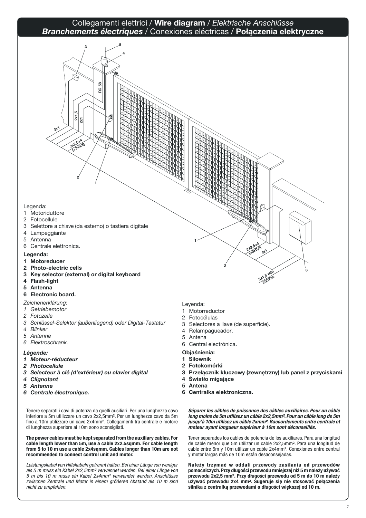#### Collegamenti elettrici / Wire diagram / *Elektrische Anschlüsse Branchements électriques* / Conexiones eléctricas / Połączenia elektryczne



- 5 Antenna
- 6 Electronic board.

#### *Zeichenerklärung:*

- *1 Getriebemotor*
- *2 Fotozelle*
- *3 Schlüssel-Selektor (außenliegend) oder Digital-Tastatur*
- *4 Blinker*
- *5 Antenne*
- *6 Elektroschrank.*

#### *Légende:*

- *1 Moteur-réducteur*
- *2 Photocellule*
- *3 Selecteur à clé (d'extérieur) ou clavier digital*
- *4 Clignotant*
- *5 Antenne*
- *6 Centrale électronique.*

Tenere separati i cavi di potenza da quelli ausiliari. Per una lunghezza cavo inferiore a 5m utilizzare un cavo 2x2,5mm². Per un lunghezza cavo da 5m fino a 10m utilizzare un cavo 2x4mm². Collegamenti tra centrale e motore di lunghezza superiore ai 10m sono sconsigliati.

The power cables must be kept separated from the auxiliary cables. For cable length lower than 5m, use a cable 2x2.5sqmm. For cable length from 5 to 10 m use a cable 2x4sqmm. Cables longer than 10m are not recommended to connect control unit and motor.

Leistungskabel von Hilfskabeln getrennt halten. Bei einer Länge von weniger als 5 m muss ein Kabel 2x2,5mm² verwendet werden. Bei einer Länge von 5 m bis 10 m muss ein Kabel 2x4mm² verwendet werden. Anschlüsse zwischen Zentrale und Motor in einem größeren Abstand als 10 m sind nicht zu empfehlen.

Leyenda:

- 1 Motorreductor
- 2 Fotocélulas
- 3 Selectores a llave (de superficie).
- 4 Relampagueador.
- 5 Antena
- 6 Central electrónica.
- Objaśnienia:
- 1 Siłownik
- 2 Fotokomórki
- 3 Przełącznik kluczowy (zewnętrzny) lub panel z przyciskami
- 4 Światło migające
- 5 Antena
- 6 Centralka elektroniczna.

Séparer les câbles de puissance des câbles auxiliaires. Pour un câble long moins de 5m utilisez un câble 2x2,5mm². Pour un câble long de 5m jusqu'à 10m utilisez un câble 2xmm². Raccordements entre centrale et moteur ayant longueur supérieur à 10m sont déconseillés.

Tener separados los cables de potencia de los auxiliares. Para una longitud de cable menor que 5m utilizar un cable 2x2,5mm². Para una longitud de cable entre 5m y 10m utilizar un cable 2x4mm². Conexiones entre central y motor largas más de 10m están desaconsejadas.

Należy trzymać w oddali przewody zasilania od przewodów pomocniczych. Przy długości przewodu mniejszej niż 5 m należy używać przewodu 2x2,5 mm². Przy długości przewodu od 5 m do 10 m należy używać przewodu 2x4 mm². Sugeruje się nie stosować połączenia silnika z centralką przewodami o długości większej od 10 m.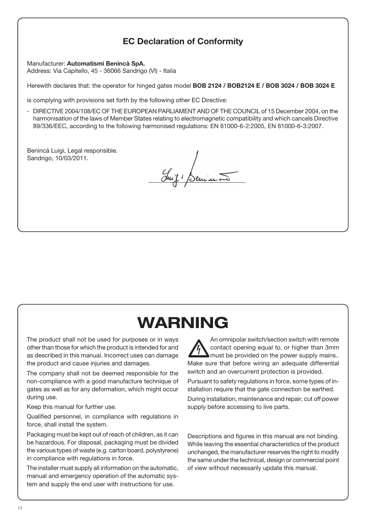# EC Declaration of Conformity

Manufacturer: Automatismi Benincà SpA. Address: Via Capitello, 45 - 36066 Sandrigo (VI) - Italia

Herewith declares that: the operator for hinged gates model BOB 2124 / BOB2124 E / BOB 3024 / BOB 3024 E

is complying with provisions set forth by the following other EC Directive:

- DIRECTIVE 2004/108/EC OF THE EUROPEAN PARLIAMENT AND OF THE COUNCIL of 15 December 2004, on the harmonisation of the laws of Member States relating to electromagnetic compatibility and which cancels Directive 89/336/EEC, according to the following harmonised regulations: EN 61000-6-2:2005, EN 61000-6-3:2007.

Benincà Luigi, Legal responsible. Sandrigo, 10/03/2011.

Juif Beninco

# WARNING

The product shall not be used for purposes or in ways other than those for which the product is intended for and as described in this manual. Incorrect uses can damage the product and cause injuries and damages.

The company shall not be deemed responsible for the non-compliance with a good manufacture technique of gates as well as for any deformation, which might occur during use.

Keep this manual for further use.

Qualified personnel, in compliance with regulations in force, shall install the system.

Packaging must be kept out of reach of children, as it can be hazardous. For disposal, packaging must be divided the various types of waste (e.g. carton board, polystyrene) in compliance with regulations in force.

The installer must supply all information on the automatic, manual and emergency operation of the automatic system and supply the end user with instructions for use.

when we will be the must be provided on the power supply mains...<br>Make sure that before wiring an adequate differential An omnipolar switch/section switch with remote contact opening equal to, or higher than 3mm  $\blacktriangle$  must be provided on the power supply mains.. switch and an overcurrent protection is provided.

Pursuant to safety regulations in force, some types of installation require that the gate connection be earthed.

During installation, maintenance and repair, cut off power supply before accessing to live parts.

Descriptions and figures in this manual are not binding. While leaving the essential characteristics of the product unchanged, the manufacturer reserves the right to modify the same under the technical, design or commercial point of view without necessarily update this manual.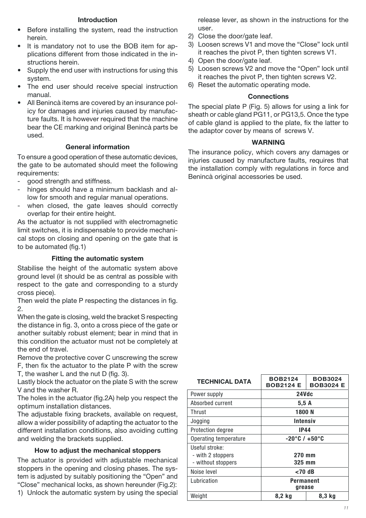#### Introduction

- Before installing the system, read the instruction herein.
- It is mandatory not to use the BOB item for applications different from those indicated in the instructions herein.
- Supply the end user with instructions for using this system.
- The end user should receive special instruction manual.
- All Benincà items are covered by an insurance policy for damages and injuries caused by manufacture faults. It is however required that the machine bear the CE marking and original Benincà parts be used.

#### General information

To ensure a good operation of these automatic devices, the gate to be automated should meet the following requirements:

- good strength and stiffness.
- hinges should have a minimum backlash and allow for smooth and regular manual operations.
- when closed, the gate leaves should correctly overlap for their entire height.

As the actuator is not supplied with electromagnetic limit switches, it is indispensable to provide mechanical stops on closing and opening on the gate that is to be automated (fig.1)

#### Fitting the automatic system

Stabilise the height of the automatic system above ground level (it should be as central as possible with respect to the gate and corresponding to a sturdy cross piece).

Then weld the plate P respecting the distances in fig. 2.

When the gate is closing, weld the bracket S respecting the distance in fig. 3, onto a cross piece of the gate or another suitably robust element; bear in mind that in this condition the actuator must not be completely at the end of travel.

Remove the protective cover C unscrewing the screw F, then fix the actuator to the plate P with the screw T, the washer L and the nut D (fig. 3).

Lastly block the actuator on the plate S with the screw V and the washer R.

The holes in the actuator (fig.2A) help you respect the optimum installation distances.

The adjustable fixing brackets, available on request, allow a wider possibility of adapting the actuator to the different installation conditions, also avoiding cutting and welding the brackets supplied.

#### How to adjust the mechanical stoppers

The actuator is provided with adjustable mechanical stoppers in the opening and closing phases. The system is adjusted by suitably positioning the "Open" and "Close" mechanical locks, as shown hereunder (Fig.2): 1) Unlock the automatic system by using the special release lever, as shown in the instructions for the user.

- 2) Close the door/gate leaf.
- 3) Loosen screws V1 and move the "Close" lock until it reaches the pivot P, then tighten screws V1.
- 4) Open the door/gate leaf.
- 5) Loosen screws V2 and move the "Open" lock until it reaches the pivot P, then tighten screws V2.
- 6) Reset the automatic operating mode.

#### **Connections**

The special plate P (Fig. 5) allows for using a link for sheath or cable gland PG11, or PG13,5. Once the type of cable gland is applied to the plate, fix the latter to the adaptor cover by means of screws V.

#### WARNING

The insurance policy, which covers any damages or injuries caused by manufacture faults, requires that the installation comply with regulations in force and Benincà original accessories be used.

| <b>TECHNICAL DATA</b> | <b>BOB2124</b><br><b>BOB2124 E</b> | <b>BOB3024</b><br><b>BOB3024 E</b> |  |
|-----------------------|------------------------------------|------------------------------------|--|
| Power supply          | 24Vdc                              |                                    |  |
| Absorbed current      | 5,5A                               |                                    |  |
| Thrust                | 1800 N                             |                                    |  |
| Jogging               | <b>Intensiv</b>                    |                                    |  |
| Protection degree     | <b>IP44</b>                        |                                    |  |
| Operating temperature | $-20^{\circ}$ C / +50 $^{\circ}$ C |                                    |  |
| Useful stroke:        |                                    |                                    |  |
| - with 2 stoppers     | 270 mm                             |                                    |  |
| - without stoppers    | 325 mm                             |                                    |  |
| Noise level           | $<$ 70 dB                          |                                    |  |
| Lubrication           | Permanent<br>grease                |                                    |  |
| Weight                | 8,2 kg                             | 8,3 kg                             |  |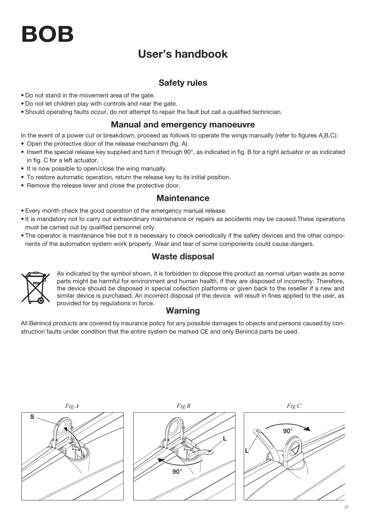# BOB

# User's handbook

# Safety rules

- . Do not stand in the movement area of the gate.
- Do not let children play with controls and near the gate.
- Should operating faults occur, do not attempt to repair the fault but call a qualified technician.

### Manual and emergency manoeuvre

In the event of a power cut or breakdown, proceed as follows to operate the wings manually (refer to figures A,B,C):

- Open the protective door of the release mechanism (fig. A).
- Insert the special release key supplied and turn it through 90°, as indicated in fig. B for a right actuator or as indicated in fig. C for a left actuator.
- It is now possible to open/close the wing manually.
- To restore automatic operation, return the release key to its initial position.
- Remove the release lever and close the protective door.

### **Maintenance**

- Every month check the good operation of the emergency manual release.
- . It is mandatory not to carry out extraordinary maintenance or repairs as accidents may be caused. These operations must be carried out by qualified personnel only.
- The operator is maintenance free but it is necessary to check periodically if the safety devices and the other components of the automation system work properly. Wear and tear of some components could cause dangers.

## Waste disposal



As indicated by the symbol shown, it is forbidden to dispose this product as normal urban waste as some parts might be harmful for environment and human health, if they are disposed of incorrectly. Therefore, the device should be disposed in special collection platforms or given back to the reseller if a new and similar device is purchased. An incorrect disposal of the device will result in fines applied to the user, as provided for by regulations in force.

## Warning

All Benincá products are covered by insurance policy for any possible damages to objects and persons caused by construction faults under condition that the entire system be marked CE and only Benincá parts be used.





 $90^\circ$ L